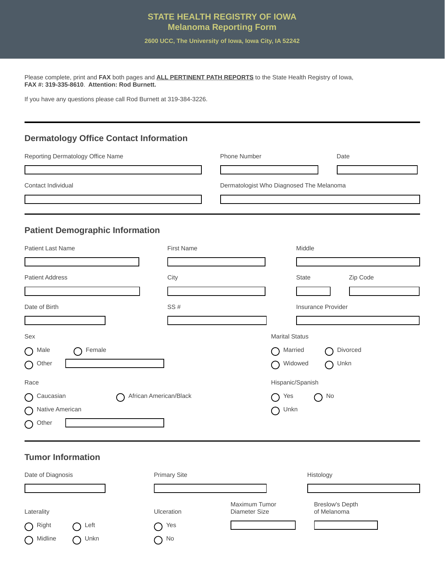#### **STATE HEALTH REGISTRY OF IOWA Melanoma Reporting Form**

**2600 UCC, The University of Iowa, Iowa City, IA 52242** 

Please complete, print and **FAX** both pages and **ALL PERTINENT PATH REPORTS** to the State Health Registry of Iowa, **FAX #: 319-335-8610**. **Attention: Rod Burnett.** 

If you have any questions please call Rod Burnett at 319-384-3226.

#### **Dermatology Office Contact Information**

| Reporting Dermatology Office Name | <b>Phone Number</b>                      | Date |
|-----------------------------------|------------------------------------------|------|
|                                   |                                          |      |
| Contact Individual                | Dermatologist Who Diagnosed The Melanoma |      |
|                                   |                                          |      |
|                                   |                                          |      |

### **Patient Demographic Information**

| Patient Last Name                                 | <b>First Name</b> |                       | Middle             |
|---------------------------------------------------|-------------------|-----------------------|--------------------|
|                                                   |                   |                       |                    |
| <b>Patient Address</b>                            | City              |                       | State<br>Zip Code  |
|                                                   |                   |                       |                    |
| Date of Birth                                     | SS#               |                       | Insurance Provider |
|                                                   |                   |                       |                    |
| Sex                                               |                   | <b>Marital Status</b> |                    |
| Female<br>Male<br>$\bigcirc$                      |                   | Married<br>◠          | Divorced<br>⊂      |
| Other<br>$\bigcirc$                               |                   | Widowed<br>◯          | Unkn<br>∩          |
| Race                                              |                   | Hispanic/Spanish      |                    |
| African American/Black<br>Caucasian<br>$\bigcirc$ |                   | Yes<br>◯              | No<br>⌒            |
| Native American<br>$\left( \right)$               |                   | Unkn<br>⌒             |                    |
| Other<br>$\bigcirc$                               |                   |                       |                    |
|                                                   |                   |                       |                    |

### **Tumor Information**

| Date of Diagnosis  |                       | <b>Primary Site</b> |                                              | Histology                             |  |
|--------------------|-----------------------|---------------------|----------------------------------------------|---------------------------------------|--|
|                    |                       |                     |                                              |                                       |  |
| Laterality         |                       | <b>Ulceration</b>   | <b>Maximum Tumor</b><br><b>Diameter Size</b> | <b>Breslow's Depth</b><br>of Melanoma |  |
| Right<br>$\bigcap$ | Left<br>$\rightarrow$ | Yes                 |                                              |                                       |  |
| Midline            | Unkn                  | No                  |                                              |                                       |  |